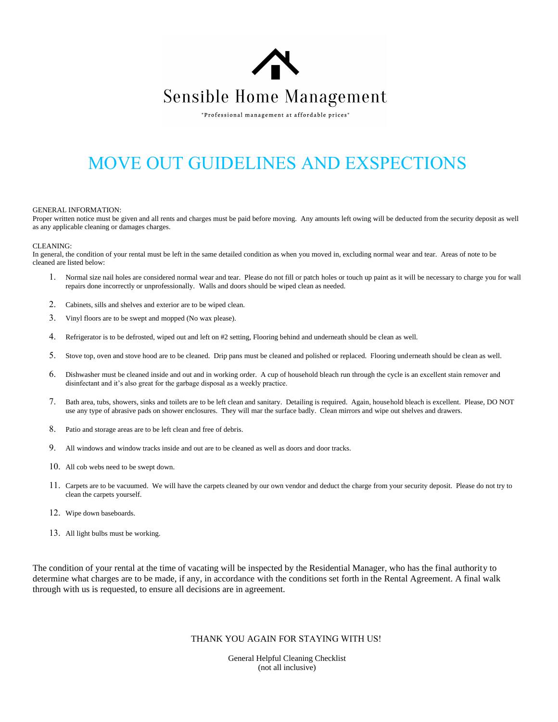

"Professional management at affordable prices"

# MOVE OUT GUIDELINES AND EXSPECTIONS

### GENERAL INFORMATION:

Proper written notice must be given and all rents and charges must be paid before moving. Any amounts left owing will be deducted from the security deposit as well as any applicable cleaning or damages charges.

#### CLEANING:

In general, the condition of your rental must be left in the same detailed condition as when you moved in, excluding normal wear and tear. Areas of note to be cleaned are listed below:

- Normal size nail holes are considered normal wear and tear. Please do not fill or patch holes or touch up paint as it will be necessary to charge you for wall repairs done incorrectly or unprofessionally. Walls and doors should be wiped clean as needed.
- 2. Cabinets, sills and shelves and exterior are to be wiped clean.
- 3. Vinyl floors are to be swept and mopped (No wax please).
- 4. Refrigerator is to be defrosted, wiped out and left on #2 setting, Flooring behind and underneath should be clean as well.
- 5. Stove top, oven and stove hood are to be cleaned. Drip pans must be cleaned and polished or replaced. Flooring underneath should be clean as well.
- 6. Dishwasher must be cleaned inside and out and in working order. A cup of household bleach run through the cycle is an excellent stain remover and disinfectant and it's also great for the garbage disposal as a weekly practice.
- 7. Bath area, tubs, showers, sinks and toilets are to be left clean and sanitary. Detailing is required. Again, household bleach is excellent. Please, DO NOT use any type of abrasive pads on shower enclosures. They will mar the surface badly. Clean mirrors and wipe out shelves and drawers.
- 8. Patio and storage areas are to be left clean and free of debris.
- 9. All windows and window tracks inside and out are to be cleaned as well as doors and door tracks.
- 10. All cob webs need to be swept down.
- 11. Carpets are to be vacuumed. We will have the carpets cleaned by our own vendor and deduct the charge from your security deposit. Please do not try to clean the carpets yourself.
- 12. Wipe down baseboards.
- 13. All light bulbs must be working.

The condition of your rental at the time of vacating will be inspected by the Residential Manager, who has the final authority to determine what charges are to be made, if any, in accordance with the conditions set forth in the Rental Agreement. A final walk through with us is requested, to ensure all decisions are in agreement.

# THANK YOU AGAIN FOR STAYING WITH US!

General Helpful Cleaning Checklist (not all inclusive)